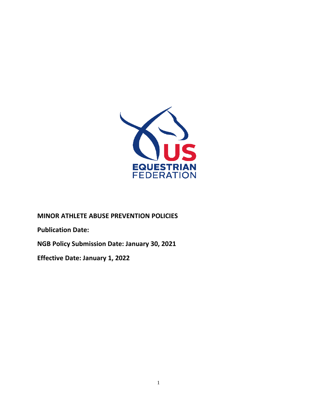

**MINOR ATHLETE ABUSE PREVENTION POLICIES** 

**Publication Date:** 

**NGB Policy Submission Date: January 30, 2021**

**Effective Date: January 1, 2022**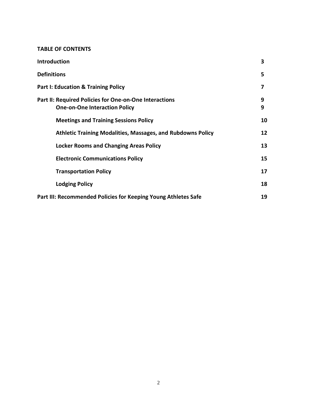#### **TABLE OF CONTENTS**

| Introduction                                                                                   | 3      |
|------------------------------------------------------------------------------------------------|--------|
| <b>Definitions</b>                                                                             | 5      |
| <b>Part I: Education &amp; Training Policy</b>                                                 | 7      |
| Part II: Required Policies for One-on-One Interactions<br><b>One-on-One Interaction Policy</b> | 9<br>9 |
| <b>Meetings and Training Sessions Policy</b>                                                   | 10     |
| <b>Athletic Training Modalities, Massages, and Rubdowns Policy</b>                             | 12     |
| <b>Locker Rooms and Changing Areas Policy</b>                                                  | 13     |
| <b>Electronic Communications Policy</b>                                                        | 15     |
| <b>Transportation Policy</b>                                                                   | 17     |
| <b>Lodging Policy</b>                                                                          | 18     |
| Part III: Recommended Policies for Keeping Young Athletes Safe                                 | 19     |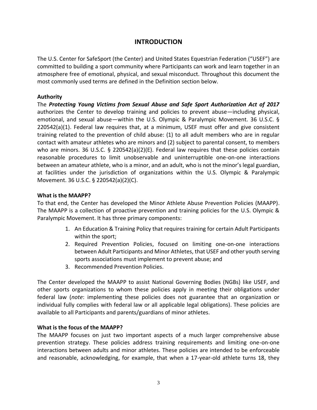# **INTRODUCTION**

The U.S. Center for SafeSport (the Center) and United States Equestrian Federation ("USEF") are committed to building a sport community where Participants can work and learn together in an atmosphere free of emotional, physical, and sexual misconduct. Throughout this document the most commonly used terms are defined in the Definition section below.

### **Authority**

The *Protecting Young Victims from Sexual Abuse and Safe Sport Authorization Act of 2017* authorizes the Center to develop training and policies to prevent abuse—including physical, emotional, and sexual abuse—within the U.S. Olympic & Paralympic Movement. 36 U.S.C. § 220542(a)(1). Federal law requires that, at a minimum, USEF must offer and give consistent training related to the prevention of child abuse: (1) to all adult members who are in regular contact with amateur athletes who are minors and (2) subject to parental consent, to members who are minors. 36 U.S.C. § 220542(a)(2)(E). Federal law requires that these policies contain reasonable procedures to limit unobservable and uninterruptible one-on-one interactions between an amateur athlete, who is a minor, and an adult, who is not the minor's legal guardian, at facilities under the jurisdiction of organizations within the U.S. Olympic & Paralympic Movement. 36 U.S.C. § 220542(a)(2)(C).

#### **What is the MAAPP?**

To that end, the Center has developed the Minor Athlete Abuse Prevention Policies (MAAPP). The MAAPP is a collection of proactive prevention and training policies for the U.S. Olympic & Paralympic Movement. It has three primary components:

- 1. An Education & Training Policy that requires training for certain Adult Participants within the sport;
- 2. Required Prevention Policies, focused on limiting one-on-one interactions between Adult Participants and Minor Athletes, that USEF and other youth serving sports associations must implement to prevent abuse; and
- 3. Recommended Prevention Policies.

The Center developed the MAAPP to assist National Governing Bodies (NGBs) like USEF, and other sports organizations to whom these policies apply in meeting their obligations under federal law (*note*: implementing these policies does not guarantee that an organization or individual fully complies with federal law or all applicable legal obligations). These policies are available to all Participants and parents/guardians of minor athletes.

#### **What is the focus of the MAAPP?**

The MAAPP focuses on just two important aspects of a much larger comprehensive abuse prevention strategy. These policies address training requirements and limiting one-on-one interactions between adults and minor athletes. These policies are intended to be enforceable and reasonable, acknowledging, for example, that when a 17-year-old athlete turns 18, they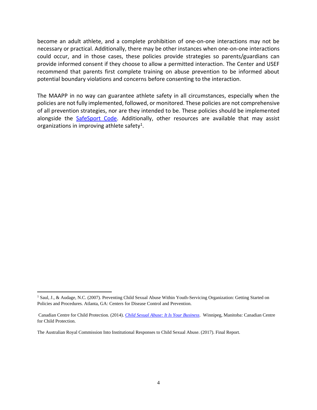become an adult athlete, and a complete prohibition of one-on-one interactions may not be necessary or practical. Additionally, there may be other instances when one-on-one interactions could occur, and in those cases, these policies provide strategies so parents/guardians can provide informed consent if they choose to allow a permitted interaction. The Center and USEF recommend that parents first complete training on abuse prevention to be informed about potential boundary violations and concerns before consenting to the interaction.

The MAAPP in no way can guarantee athlete safety in all circumstances, especially when the policies are not fully implemented, followed, or monitored. These policies are not comprehensive of all prevention strategies, nor are they intended to be. These policies should be implemented alongside the [SafeSport Code.](https://uscenterforsafesport.org/response-and-resolution/safesport-code/) Additionally, other resources are available that may assist organizations in improving athlete safety<sup>1</sup>.

<sup>&</sup>lt;sup>1</sup> Saul, J., & Audage, N.C. (2007). Preventing Child Sexual Abuse Within Youth-Servicing Organization: Getting Started on Policies and Procedures. Atlanta, GA: Centers for Disease Control and Prevention.

Canadian Centre for Child Protection. (2014). *[Child Sexual Abuse: It Is Your Business](https://www.protectchildren.ca/pdfs/C3P_ChildSexualAbuse_ItIsYourBusiness_en.pdf)*. Winnipeg, Manitoba: Canadian Centre for Child Protection.

The Australian Royal Commission Into Institutional Responses to Child Sexual Abuse. (2017). Final Report.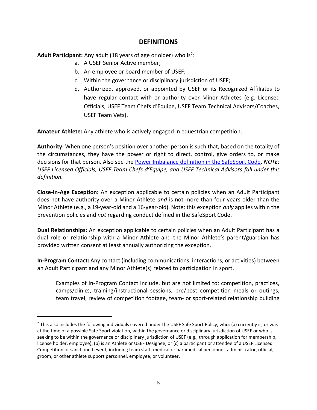## **DEFINITIONS**

**Adult Participant:** Any adult (18 years of age or older) who is<sup>2</sup>:

- a. A USEF Senior Active member;
- b. An employee or board member of USEF;
- c. Within the governance or disciplinary jurisdiction of USEF;
- d. Authorized, approved, or appointed by USEF or its Recognized Affiliates to have regular contact with or authority over Minor Athletes (e.g. Licensed Officials, USEF Team Chefs d'Equipe, USEF Team Technical Advisors/Coaches, USEF Team Vets).

**Amateur Athlete:** Any athlete who is actively engaged in equestrian competition.

**Authority:** When one person's position over another person is such that, based on the totality of the circumstances, they have the power or right to direct, control, give orders to, or make decisions for that person. Also see the [Power Imbalance definition in the SafeSport Code.](https://uscenterforsafesport.org/response-and-resolution/safesport-code/) *NOTE:*  USEF Licensed Officials, USEF Team Chefs d'Equipe, and USEF Technical Advisors fall under this *definition.*

**Close-in-Age Exception:** An exception applicable to certain policies when an Adult Participant does not have authority over a Minor Athlete *and* is not more than four years older than the Minor Athlete (e.g., a 19-year-old and a 16-year-old). Note: this exception *only* applies within the prevention policies and *not* regarding conduct defined in the SafeSport Code.

**Dual Relationships:** An exception applicable to certain policies when an Adult Participant has a dual role or relationship with a Minor Athlete and the Minor Athlete's parent/guardian has provided written consent at least annually authorizing the exception.

**In-Program Contact:** Any contact (including communications, interactions, or activities) between an Adult Participant and any Minor Athlete(s) related to participation in sport.

Examples of In-Program Contact include, but are not limited to: competition, practices, camps/clinics, training/instructional sessions, pre/post competition meals or outings, team travel, review of competition footage, team- or sport-related relationship building

 $2$  This also includes the following individuals covered under the USEF Safe Sport Policy, who: (a) currently is, or was at the time of a possible Safe Sport violation, within the governance or disciplinary jurisdiction of USEF or who is seeking to be within the governance or disciplinary jurisdiction of USEF (e.g., through application for membership, license holder, employee), (b) is an Athlete or USEF Designee, or (c) a participant or attendee of a USEF Licensed Competition or sanctioned event, including team staff, medical or paramedical personnel, administrator, official, groom, or other athlete support personnel, employee, or volunteer.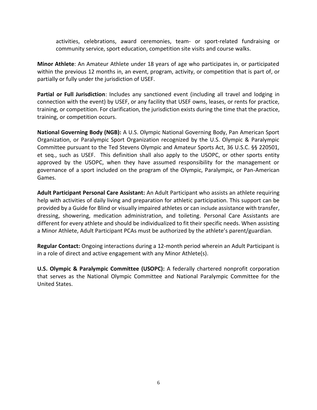activities, celebrations, award ceremonies, team- or sport-related fundraising or community service, sport education, competition site visits and course walks.

**Minor Athlete**: An Amateur Athlete under 18 years of age who participates in, or participated within the previous 12 months in, an event, program, activity, or competition that is part of, or partially or fully under the jurisdiction of USEF.

**Partial or Full Jurisdiction**: Includes any sanctioned event (including all travel and lodging in connection with the event) by USEF, or any facility that USEF owns, leases, or rents for practice, training, or competition. For clarification, the jurisdiction exists during the time that the practice, training, or competition occurs.

**National Governing Body (NGB):** A U.S. Olympic National Governing Body, Pan American Sport Organization, or Paralympic Sport Organization recognized by the U.S. Olympic & Paralympic Committee pursuant to the Ted Stevens Olympic and Amateur Sports Act, 36 U.S.C. §§ 220501, et seq., such as USEF. This definition shall also apply to the USOPC, or other sports entity approved by the USOPC, when they have assumed responsibility for the management or governance of a sport included on the program of the Olympic, Paralympic, or Pan-American Games.

**Adult Participant Personal Care Assistant:** An Adult Participant who assists an athlete requiring help with activities of daily living and preparation for athletic participation. This support can be provided by a Guide for Blind or visually impaired athletes or can include assistance with transfer, dressing, showering, medication administration, and toileting. Personal Care Assistants are different for every athlete and should be individualized to fit their specific needs. When assisting a Minor Athlete, Adult Participant PCAs must be authorized by the athlete's parent/guardian.

**Regular Contact:** Ongoing interactions during a 12-month period wherein an Adult Participant is in a role of direct and active engagement with any Minor Athlete(s).

**U.S. Olympic & Paralympic Committee (USOPC):** A federally chartered nonprofit corporation that serves as the National Olympic Committee and National Paralympic Committee for the United States.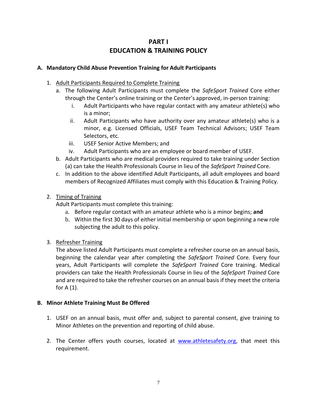# **PART I EDUCATION & TRAINING POLICY**

## **A. Mandatory Child Abuse Prevention Training for Adult Participants**

- 1. Adult Participants Required to Complete Training
	- a. The following Adult Participants must complete the *SafeSport Trained* Core either through the Center's online training or the Center's approved, in-person training:
		- i. Adult Participants who have regular contact with any amateur athlete(s) who is a minor;
		- ii. Adult Participants who have authority over any amateur athlete(s) who is a minor, e.g. Licensed Officials, USEF Team Technical Advisors; USEF Team Selectors, etc.
		- iii. USEF Senior Active Members; and
		- iv. Adult Participants who are an employee or board member of USEF.
	- b. Adult Participants who are medical providers required to take training under Section (a) can take the Health Professionals Course in lieu of the *SafeSport Trained* Core.
	- c. In addition to the above identified Adult Participants, all adult employees and board members of Recognized Affiliates must comply with this Education & Training Policy.

## 2. Timing of Training

Adult Participants must complete this training:

- a. Before regular contact with an amateur athlete who is a minor begins; **and**
- b. Within the first 30 days of either initial membership or upon beginning a new role subjecting the adult to this policy.

## 3. Refresher Training

The above listed Adult Participants must complete a refresher course on an annual basis, beginning the calendar year after completing the *SafeSport Trained* Core. Every four years, Adult Participants will complete the *SafeSport Trained* Core training. Medical providers can take the Health Professionals Course in lieu of the *SafeSport Trained* Core and are required to take the refresher courses on an annual basis if they meet the criteria for  $A(1)$ .

#### **B. Minor Athlete Training Must Be Offered**

- 1. USEF on an annual basis, must offer and, subject to parental consent, give training to Minor Athletes on the prevention and reporting of child abuse.
- 2. The Center offers youth courses, located at [www.athletesafety.org,](http://www.athletesafety.org/) that meet this requirement.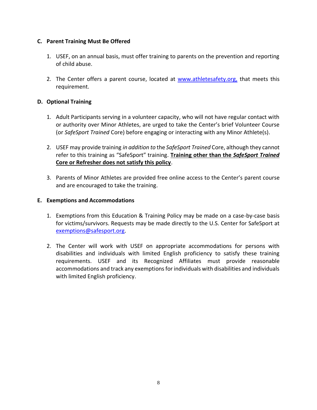## **C. Parent Training Must Be Offered**

- 1. USEF, on an annual basis, must offer training to parents on the prevention and reporting of child abuse.
- 2. The Center offers a parent course, located at [www.athletesafety.org,](http://www.athletesafety.org/) that meets this requirement.

## **D. Optional Training**

- 1. Adult Participants serving in a volunteer capacity, who will not have regular contact with or authority over Minor Athletes, are urged to take the Center's brief Volunteer Course (or *SafeSport Trained* Core) before engaging or interacting with any Minor Athlete(s).
- 2. USEF may provide training *in addition to* the *SafeSport Trained* Core, although they cannot refer to this training as "SafeSport" training. **Training other than the** *SafeSport Trained* **Core or Refresher does not satisfy this policy**.
- 3. Parents of Minor Athletes are provided free online access to the Center's parent course and are encouraged to take the training.

#### **E. Exemptions and Accommodations**

- 1. Exemptions from this Education & Training Policy may be made on a case-by-case basis for victims/survivors. Requests may be made directly to the U.S. Center for SafeSport at [exemptions@safesport.org.](mailto:training@safesport.org)
- 2. The Center will work with USEF on appropriate accommodations for persons with disabilities and individuals with limited English proficiency to satisfy these training requirements. USEF and its Recognized Affiliates must provide reasonable accommodations and track any exemptions for individuals with disabilities and individuals with limited English proficiency.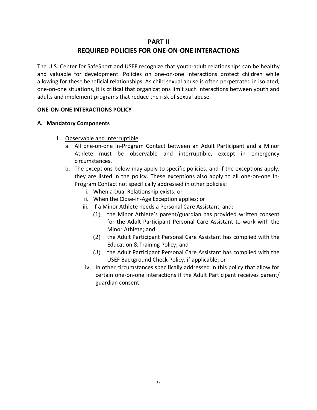# **PART II REQUIRED POLICIES FOR ONE-ON-ONE INTERACTIONS**

The U.S. Center for SafeSport and USEF recognize that youth-adult relationships can be healthy and valuable for development. Policies on one-on-one interactions protect children while allowing for these beneficial relationships. As child sexual abuse is often perpetrated in isolated, one-on-one situations, it is critical that organizations limit such interactions between youth and adults and implement programs that reduce the risk of sexual abuse.

## **ONE-ON-ONE INTERACTIONS POLICY**

## **A. Mandatory Components**

- 1. Observable and Interruptible
	- a. All one-on-one In-Program Contact between an Adult Participant and a Minor Athlete must be observable and interruptible, except in emergency circumstances.
	- b. The exceptions below may apply to specific policies, and if the exceptions apply, they are listed in the policy. These exceptions also apply to all one-on-one In-Program Contact not specifically addressed in other policies:
		- i. When a Dual Relationship exists; or
		- ii. When the Close-in-Age Exception applies; or
		- iii. If a Minor Athlete needs a Personal Care Assistant, and:
			- (1) the Minor Athlete's parent/guardian has provided written consent for the Adult Participant Personal Care Assistant to work with the Minor Athlete; and
			- (2) the Adult Participant Personal Care Assistant has complied with the Education & Training Policy; and
			- (3) the Adult Participant Personal Care Assistant has complied with the USEF Background Check Policy, if applicable; or
		- iv. In other circumstances specifically addressed in this policy that allow for certain one-on-one interactions if the Adult Participant receives parent/ guardian consent.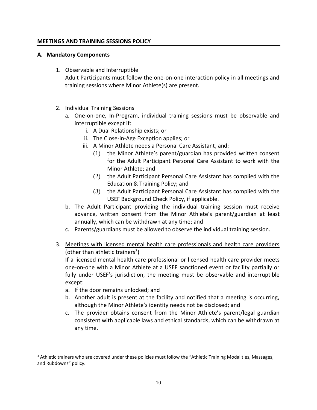#### **MEETINGS AND TRAINING SESSIONS POLICY**

#### **A. Mandatory Components**

1. Observable and Interruptible

Adult Participants must follow the one-on-one interaction policy in all meetings and training sessions where Minor Athlete(s) are present.

- 2. Individual Training Sessions
	- a. One-on-one, In-Program, individual training sessions must be observable and interruptible except if:
		- i. A Dual Relationship exists; or
		- ii. The Close-in-Age Exception applies; or
		- iii. A Minor Athlete needs a Personal Care Assistant, and:
			- (1) the Minor Athlete's parent/guardian has provided written consent for the Adult Participant Personal Care Assistant to work with the Minor Athlete; and
			- (2) the Adult Participant Personal Care Assistant has complied with the Education & Training Policy; and
			- (3) the Adult Participant Personal Care Assistant has complied with the USEF Background Check Policy, if applicable.
	- b. The Adult Participant providing the individual training session must receive advance, written consent from the Minor Athlete's parent/guardian at least annually, which can be withdrawn at any time; and
	- c. Parents/guardians must be allowed to observe the individual training session.
- 3. Meetings with licensed mental health care professionals and health care providers (other than athletic trainers<sup>3</sup>)

If a licensed mental health care professional or licensed health care provider meets one-on-one with a Minor Athlete at a USEF sanctioned event or facility partially or fully under USEF's jurisdiction, the meeting must be observable and interruptible except:

- a. If the door remains unlocked; and
- b. Another adult is present at the facility and notified that a meeting is occurring, although the Minor Athlete's identity needs not be disclosed; and
- c. The provider obtains consent from the Minor Athlete's parent/legal guardian consistent with applicable laws and ethical standards, which can be withdrawn at any time.

<sup>&</sup>lt;sup>3</sup> Athletic trainers who are covered under these policies must follow the "Athletic Training Modalities, Massages, and Rubdowns" policy.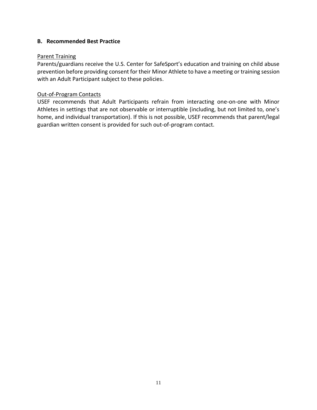## **B. Recommended Best Practice**

#### Parent Training

Parents/guardians receive the U.S. Center for SafeSport's education and training on child abuse prevention before providing consent for their Minor Athlete to have a meeting or training session with an Adult Participant subject to these policies.

## Out-of-Program Contacts

USEF recommends that Adult Participants refrain from interacting one-on-one with Minor Athletes in settings that are not observable or interruptible (including, but not limited to, one's home, and individual transportation). If this is not possible, USEF recommends that parent/legal guardian written consent is provided for such out-of-program contact.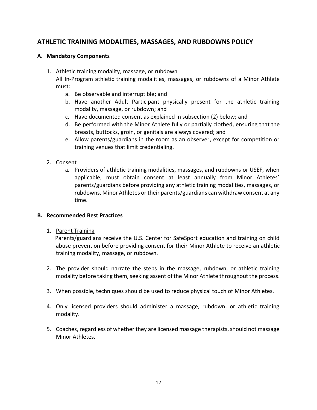# **ATHLETIC TRAINING MODALITIES, MASSAGES, AND RUBDOWNS POLICY**

#### **A. Mandatory Components**

1. Athletic training modality, massage, or rubdown

All In-Program athletic training modalities, massages, or rubdowns of a Minor Athlete must:

- a. Be observable and interruptible; and
- b. Have another Adult Participant physically present for the athletic training modality, massage, or rubdown; and
- c. Have documented consent as explained in subsection (2) below; and
- d. Be performed with the Minor Athlete fully or partially clothed, ensuring that the breasts, buttocks, groin, or genitals are always covered; and
- e. Allow parents/guardians in the room as an observer, except for competition or training venues that limit credentialing.

## 2. Consent

a. Providers of athletic training modalities, massages, and rubdowns or USEF, when applicable, must obtain consent at least annually from Minor Athletes' parents/guardians before providing any athletic training modalities, massages, or rubdowns. Minor Athletes or their parents/guardians can withdraw consent at any time.

#### **B. Recommended Best Practices**

#### 1. Parent Training

 Parents/guardians receive the U.S. Center for SafeSport education and training on child abuse prevention before providing consent for their Minor Athlete to receive an athletic training modality, massage, or rubdown.

- 2. The provider should narrate the steps in the massage, rubdown, or athletic training modality before taking them, seeking assent of the Minor Athlete throughout the process.
- 3. When possible, techniques should be used to reduce physical touch of Minor Athletes.
- 4. Only licensed providers should administer a massage, rubdown, or athletic training modality.
- 5. Coaches, regardless of whether they are licensed massage therapists,should not massage Minor Athletes.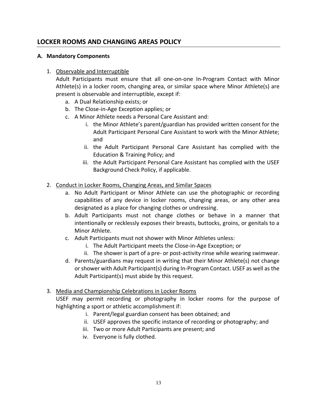# **LOCKER ROOMS AND CHANGING AREAS POLICY**

#### **A. Mandatory Components**

## 1. Observable and Interruptible

Adult Participants must ensure that all one-on-one In-Program Contact with Minor Athlete(s) in a locker room, changing area, or similar space where Minor Athlete(s) are present is observable and interruptible, except if:

- a. A Dual Relationship exists; or
- b. The Close-in-Age Exception applies; or
- c. A Minor Athlete needs a Personal Care Assistant and:
	- i. the Minor Athlete's parent/guardian has provided written consent for the Adult Participant Personal Care Assistant to work with the Minor Athlete; and
	- ii. the Adult Participant Personal Care Assistant has complied with the Education & Training Policy; and
	- iii. the Adult Participant Personal Care Assistant has complied with the USEF Background Check Policy, if applicable.
- 2. Conduct in Locker Rooms, Changing Areas, and Similar Spaces
	- a. No Adult Participant or Minor Athlete can use the photographic or recording capabilities of any device in locker rooms, changing areas, or any other area designated as a place for changing clothes or undressing.
	- b. Adult Participants must not change clothes or behave in a manner that intentionally or recklessly exposes their breasts, buttocks, groins, or genitals to a Minor Athlete.
	- c. Adult Participants must not shower with Minor Athletes unless:
		- i. The Adult Participant meets the Close-in-Age Exception; or
		- ii. The shower is part of a pre- or post-activity rinse while wearing swimwear.
	- d. Parents/guardians may request in writing that their Minor Athlete(s) not change or shower with Adult Participant(s) during In-Program Contact. USEF as well as the Adult Participant(s) must abide by this request.
- 3. Media and Championship Celebrations in Locker Rooms

USEF may permit recording or photography in locker rooms for the purpose of highlighting a sport or athletic accomplishment if:

- i. Parent/legal guardian consent has been obtained; and
- ii. USEF approves the specific instance of recording or photography; and
- iii. Two or more Adult Participants are present; and
- iv. Everyone is fully clothed.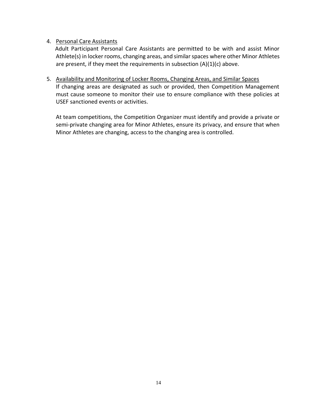## 4. Personal Care Assistants

 Adult Participant Personal Care Assistants are permitted to be with and assist Minor Athlete(s) in locker rooms, changing areas, and similar spaces where other Minor Athletes are present, if they meet the requirements in subsection  $(A)(1)(c)$  above.

#### 5. Availability and Monitoring of Locker Rooms, Changing Areas, and Similar Spaces

If changing areas are designated as such or provided, then Competition Management must cause someone to monitor their use to ensure compliance with these policies at USEF sanctioned events or activities.

At team competitions, the Competition Organizer must identify and provide a private or semi-private changing area for Minor Athletes, ensure its privacy, and ensure that when Minor Athletes are changing, access to the changing area is controlled.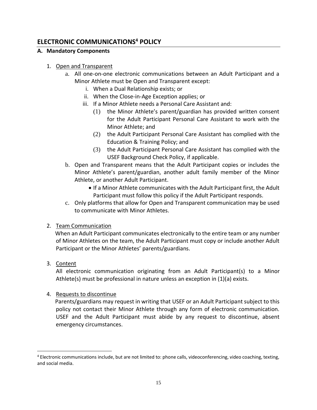# **ELECTRONIC COMMUNICATIONS<sup>4</sup> POLICY**

## **A. Mandatory Components**

## 1. Open and Transparent

- a. All one-on-one electronic communications between an Adult Participant and a Minor Athlete must be Open and Transparent except:
	- i. When a Dual Relationship exists; or
	- ii. When the Close-in-Age Exception applies; or
	- iii. If a Minor Athlete needs a Personal Care Assistant and:
		- (1) the Minor Athlete's parent/guardian has provided written consent for the Adult Participant Personal Care Assistant to work with the Minor Athlete; and
		- (2) the Adult Participant Personal Care Assistant has complied with the Education & Training Policy; and
		- (3) the Adult Participant Personal Care Assistant has complied with the USEF Background Check Policy, if applicable.
- b. Open and Transparent means that the Adult Participant copies or includes the Minor Athlete's parent/guardian, another adult family member of the Minor Athlete, or another Adult Participant.
	- If a Minor Athlete communicates with the Adult Participant first, the Adult Participant must follow this policy if the Adult Participant responds.
- c. Only platforms that allow for Open and Transparent communication may be used to communicate with Minor Athletes.

# 2. Team Communication

 When an Adult Participant communicates electronically to the entire team or any number of Minor Athletes on the team, the Adult Participant must copy or include another Adult Participant or the Minor Athletes' parents/guardians.

3. Content

All electronic communication originating from an Adult Participant(s) to a Minor Athlete(s) must be professional in nature unless an exception in (1)(a) exists.

4. Requests to discontinue

 Parents/guardians may request in writing that USEF or an Adult Participant subject to this policy not contact their Minor Athlete through any form of electronic communication. USEF and the Adult Participant must abide by any request to discontinue, absent emergency circumstances.

<sup>4</sup> Electronic communications include, but are not limited to: phone calls, videoconferencing, video coaching, texting, and social media.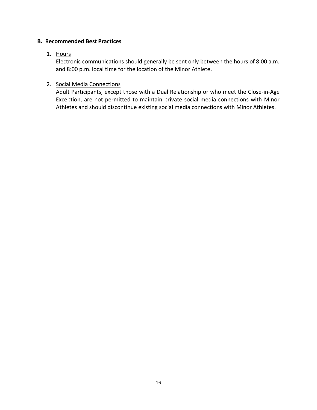## **B. Recommended Best Practices**

## 1. Hours

Electronic communications should generally be sent only between the hours of 8:00 a.m. and 8:00 p.m. local time for the location of the Minor Athlete.

## 2. Social Media Connections

Adult Participants, except those with a Dual Relationship or who meet the Close-in-Age Exception, are not permitted to maintain private social media connections with Minor Athletes and should discontinue existing social media connections with Minor Athletes.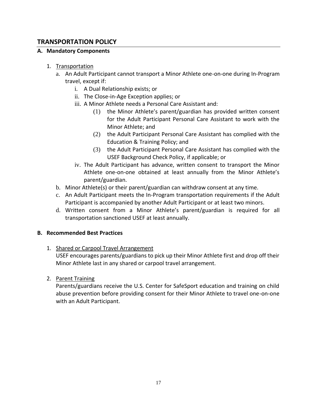# **TRANSPORTATION POLICY**

## **A. Mandatory Components**

- 1. Transportation
	- a. An Adult Participant cannot transport a Minor Athlete one-on-one during In-Program travel, except if:
		- i. A Dual Relationship exists; or
		- ii. The Close-in-Age Exception applies; or
		- iii. A Minor Athlete needs a Personal Care Assistant and:
			- (1) the Minor Athlete's parent/guardian has provided written consent for the Adult Participant Personal Care Assistant to work with the Minor Athlete; and
			- (2) the Adult Participant Personal Care Assistant has complied with the Education & Training Policy; and
			- (3) the Adult Participant Personal Care Assistant has complied with the USEF Background Check Policy, if applicable; or
		- iv. The Adult Participant has advance, written consent to transport the Minor Athlete one-on-one obtained at least annually from the Minor Athlete's parent/guardian.
	- b. Minor Athlete(s) or their parent/guardian can withdraw consent at any time.
	- c. An Adult Participant meets the In-Program transportation requirements if the Adult Participant is accompanied by another Adult Participant or at least two minors.
	- d. Written consent from a Minor Athlete's parent/guardian is required for all transportation sanctioned USEF at least annually.

## **B. Recommended Best Practices**

1. Shared or Carpool Travel Arrangement

USEF encourages parents/guardians to pick up their Minor Athlete first and drop off their Minor Athlete last in any shared or carpool travel arrangement.

2. Parent Training

Parents/guardians receive the U.S. Center for SafeSport education and training on child abuse prevention before providing consent for their Minor Athlete to travel one-on-one with an Adult Participant.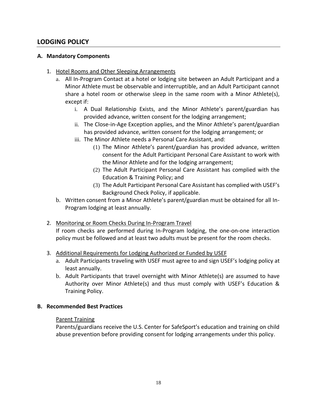# **LODGING POLICY**

### **A. Mandatory Components**

- 1. Hotel Rooms and Other Sleeping Arrangements
	- a. All In-Program Contact at a hotel or lodging site between an Adult Participant and a Minor Athlete must be observable and interruptible, and an Adult Participant cannot share a hotel room or otherwise sleep in the same room with a Minor Athlete(s), except if:
		- i. A Dual Relationship Exists, and the Minor Athlete's parent/guardian has provided advance, written consent for the lodging arrangement;
		- ii. The Close-in-Age Exception applies, and the Minor Athlete's parent/guardian has provided advance, written consent for the lodging arrangement; or
		- iii. The Minor Athlete needs a Personal Care Assistant, and:
			- (1) The Minor Athlete's parent/guardian has provided advance, written consent for the Adult Participant Personal Care Assistant to work with the Minor Athlete and for the lodging arrangement;
			- (2) The Adult Participant Personal Care Assistant has complied with the Education & Training Policy; and
			- (3) The Adult Participant Personal Care Assistant has complied with USEF's Background Check Policy, if applicable.
	- b. Written consent from a Minor Athlete's parent/guardian must be obtained for all In-Program lodging at least annually.
- 2. Monitoring or Room Checks During In-Program Travel If room checks are performed during In-Program lodging, the one-on-one interaction policy must be followed and at least two adults must be present for the room checks.
- 3. Additional Requirements for Lodging Authorized or Funded by USEF
	- a. Adult Participants traveling with USEF must agree to and sign USEF's lodging policy at least annually.
	- b. Adult Participants that travel overnight with Minor Athlete(s) are assumed to have Authority over Minor Athlete(s) and thus must comply with USEF's Education & Training Policy.

#### **B. Recommended Best Practices**

#### Parent Training

Parents/guardians receive the U.S. Center for SafeSport's education and training on child abuse prevention before providing consent for lodging arrangements under this policy.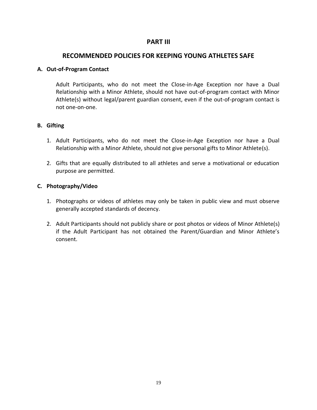## **PART III**

## **RECOMMENDED POLICIES FOR KEEPING YOUNG ATHLETES SAFE**

### **A. Out-of-Program Contact**

Adult Participants, who do not meet the Close-in-Age Exception nor have a Dual Relationship with a Minor Athlete, should not have out-of-program contact with Minor Athlete(s) without legal/parent guardian consent, even if the out-of-program contact is not one-on-one.

## **B. Gifting**

- 1. Adult Participants, who do not meet the Close-in-Age Exception nor have a Dual Relationship with a Minor Athlete, should not give personal gifts to Minor Athlete(s).
- 2. Gifts that are equally distributed to all athletes and serve a motivational or education purpose are permitted.

## **C. Photography/Video**

- 1. Photographs or videos of athletes may only be taken in public view and must observe generally accepted standards of decency.
- 2. Adult Participants should not publicly share or post photos or videos of Minor Athlete(s) if the Adult Participant has not obtained the Parent/Guardian and Minor Athlete's consent.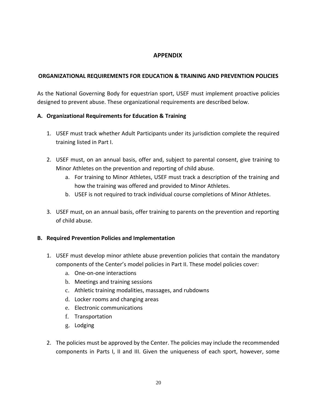# **APPENDIX**

## **ORGANIZATIONAL REQUIREMENTS FOR EDUCATION & TRAINING AND PREVENTION POLICIES**

As the National Governing Body for equestrian sport, USEF must implement proactive policies designed to prevent abuse. These organizational requirements are described below.

## **A. Organizational Requirements for Education & Training**

- 1. USEF must track whether Adult Participants under its jurisdiction complete the required training listed in Part I.
- 2. USEF must, on an annual basis, offer and, subject to parental consent, give training to Minor Athletes on the prevention and reporting of child abuse.
	- a. For training to Minor Athletes, USEF must track a description of the training and how the training was offered and provided to Minor Athletes.
	- b. USEF is not required to track individual course completions of Minor Athletes.
- 3. USEF must, on an annual basis, offer training to parents on the prevention and reporting of child abuse.

#### **B. Required Prevention Policies and Implementation**

- 1. USEF must develop minor athlete abuse prevention policies that contain the mandatory components of the Center's model policies in Part II. These model policies cover:
	- a. One-on-one interactions
	- b. Meetings and training sessions
	- c. Athletic training modalities, massages, and rubdowns
	- d. Locker rooms and changing areas
	- e. Electronic communications
	- f. Transportation
	- g. Lodging
- 2. The policies must be approved by the Center. The policies may include the recommended components in Parts I, II and III. Given the uniqueness of each sport, however, some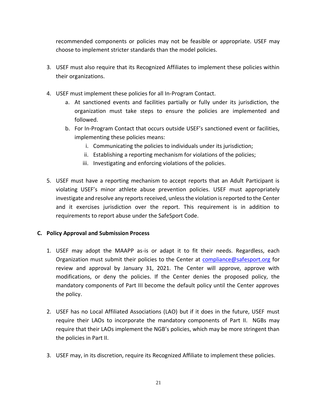recommended components or policies may not be feasible or appropriate. USEF may choose to implement stricter standards than the model policies.

- 3. USEF must also require that its Recognized Affiliates to implement these policies within their organizations.
- 4. USEF must implement these policies for all In-Program Contact.
	- a. At sanctioned events and facilities partially or fully under its jurisdiction, the organization must take steps to ensure the policies are implemented and followed.
	- b. For In-Program Contact that occurs outside USEF's sanctioned event or facilities, implementing these policies means:
		- i. Communicating the policies to individuals under its jurisdiction;
		- ii. Establishing a reporting mechanism for violations of the policies;
		- iii. Investigating and enforcing violations of the policies.
- 5. USEF must have a reporting mechanism to accept reports that an Adult Participant is violating USEF's minor athlete abuse prevention policies. USEF must appropriately investigate and resolve any reports received, unless the violation is reported to the Center and it exercises jurisdiction over the report. This requirement is in addition to requirements to report abuse under the SafeSport Code.

#### **C. Policy Approval and Submission Process**

- 1. USEF may adopt the MAAPP as-is or adapt it to fit their needs. Regardless, each Organization must submit their policies to the Center at [compliance@safesport.org](mailto:compliance@safesport.org) for review and approval by January 31, 2021. The Center will approve, approve with modifications, or deny the policies. If the Center denies the proposed policy, the mandatory components of Part III become the default policy until the Center approves the policy.
- 2. USEF has no Local Affiliated Associations (LAO) but if it does in the future, USEF must require their LAOs to incorporate the mandatory components of Part II. NGBs may require that their LAOs implement the NGB's policies, which may be more stringent than the policies in Part II.
- 3. USEF may, in its discretion, require its Recognized Affiliate to implement these policies.